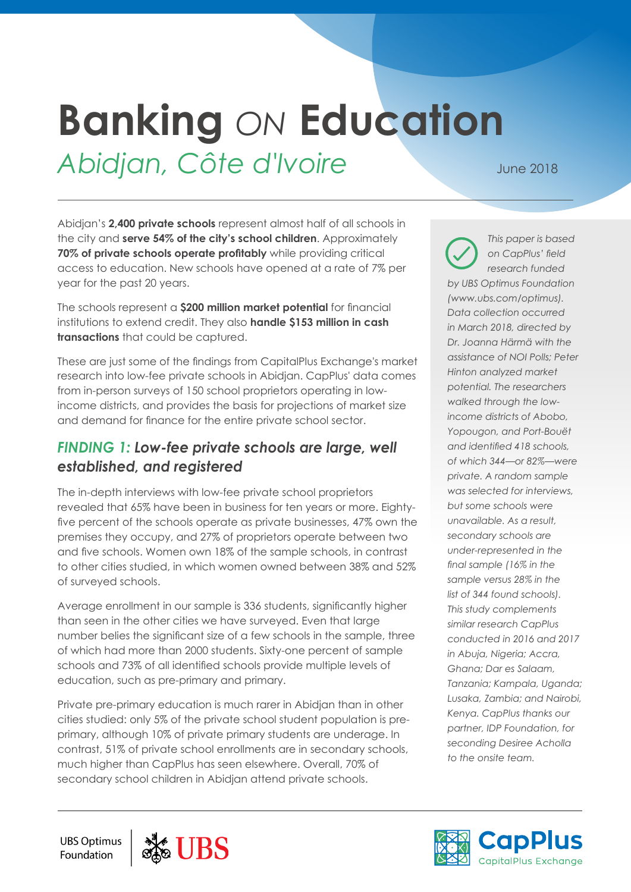# **Banking** *ON* **Education**

# Abidjan, Côte d'Ivoire June 2018

Abidjan's **2,400 private schools** represent almost half of all schools in the city and **serve 54% of the city's school children**. Approximately **70% of private schools operate profitably** while providing critical access to education. New schools have opened at a rate of 7% per year for the past 20 years.

The schools represent a **\$200 million market potential** for financial institutions to extend credit. They also **handle \$153 million in cash transactions** that could be captured.

These are just some of the findings from CapitalPlus Exchange's market research into low-fee private schools in Abidjan. CapPlus' data comes from in-person surveys of 150 school proprietors operating in lowincome districts, and provides the basis for projections of market size and demand for finance for the entire private school sector.

# *FINDING 1: Low-fee private schools are large, well established, and registered*

The in-depth interviews with low-fee private school proprietors revealed that 65% have been in business for ten years or more. Eightyfive percent of the schools operate as private businesses, 47% own the premises they occupy, and 27% of proprietors operate between two and five schools. Women own 18% of the sample schools, in contrast to other cities studied, in which women owned between 38% and 52% of surveyed schools.

Average enrollment in our sample is 336 students, significantly higher than seen in the other cities we have surveyed. Even that large number belies the significant size of a few schools in the sample, three of which had more than 2000 students. Sixty-one percent of sample schools and 73% of all identified schools provide multiple levels of education, such as pre-primary and primary.

Private pre-primary education is much rarer in Abidjan than in other cities studied: only 5% of the private school student population is preprimary, although 10% of private primary students are underage. In contrast, 51% of private school enrollments are in secondary schools, much higher than CapPlus has seen elsewhere. Overall, 70% of secondary school children in Abidjan attend private schools.

*This paper is based on CapPlus' field research funded by UBS Optimus Foundation (www.ubs.com/optimus). Data collection occurred in March 2018, directed by Dr. Joanna Härmä with the assistance of NOI Polls; Peter Hinton analyzed market potential. The researchers walked through the lowincome districts of Abobo, Yopougon, and Port-Bouët and identified 418 schools, of which 344—or 82%—were private. A random sample was selected for interviews, but some schools were unavailable. As a result, secondary schools are under-represented in the final sample (16% in the sample versus 28% in the list of 344 found schools). This study complements similar research CapPlus conducted in 2016 and 2017 in Abuja, Nigeria; Accra, Ghana; Dar es Salaam, Tanzania; Kampala, Uganda; Lusaka, Zambia; and Nairobi, Kenya. CapPlus thanks our partner, IDP Foundation, for seconding Desiree Acholla to the onsite team.*





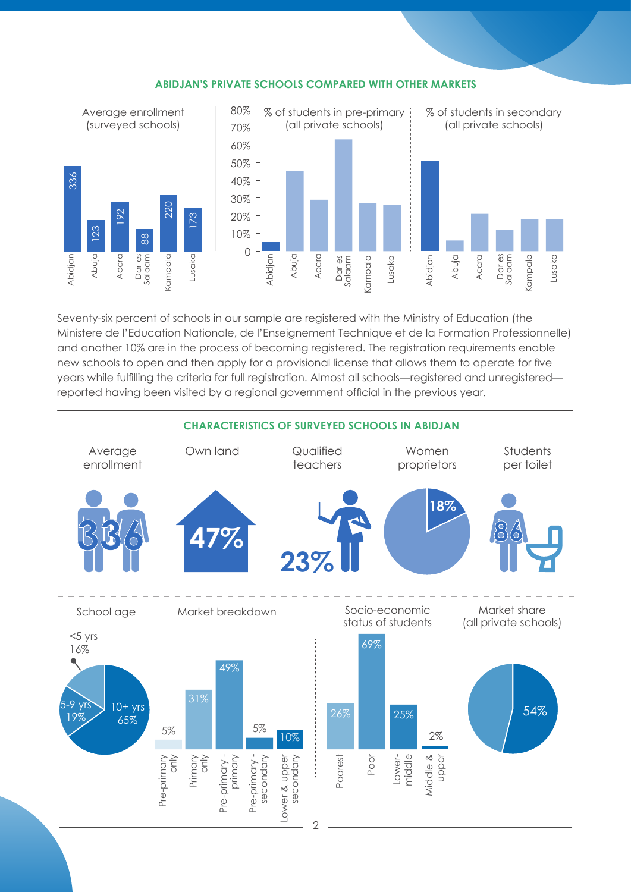

#### **ABIDJAN'S PRIVATE SCHOOLS COMPARED WITH OTHER MARKETS**

Seventy-six percent of schools in our sample are registered with the Ministry of Education (the Ministere de l'Education Nationale, de l'Enseignement Technique et de la Formation Professionnelle) and another 10% are in the process of becoming registered. The registration requirements enable new schools to open and then apply for a provisional license that allows them to operate for five years while fulfilling the criteria for full registration. Almost all schools—registered and unregistered reported having been visited by a regional government official in the previous year.

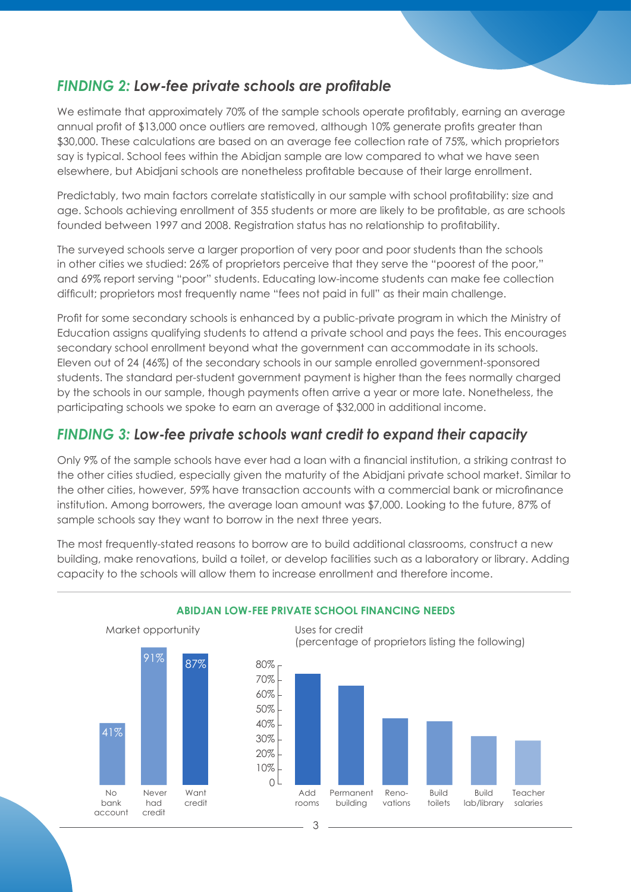### *FINDING 2: Low-fee private schools are profitable*

We estimate that approximately 70% of the sample schools operate profitably, earning an average annual profit of \$13,000 once outliers are removed, although 10% generate profits greater than \$30,000. These calculations are based on an average fee collection rate of 75%, which proprietors say is typical. School fees within the Abidjan sample are low compared to what we have seen elsewhere, but Abidjani schools are nonetheless profitable because of their large enrollment.

Predictably, two main factors correlate statistically in our sample with school profitability: size and age. Schools achieving enrollment of 355 students or more are likely to be profitable, as are schools founded between 1997 and 2008. Registration status has no relationship to profitability.

The surveyed schools serve a larger proportion of very poor and poor students than the schools in other cities we studied: 26% of proprietors perceive that they serve the "poorest of the poor," and 69% report serving "poor" students. Educating low-income students can make fee collection difficult; proprietors most frequently name "fees not paid in full" as their main challenge.

Profit for some secondary schools is enhanced by a public-private program in which the Ministry of Education assigns qualifying students to attend a private school and pays the fees. This encourages secondary school enrollment beyond what the government can accommodate in its schools. Eleven out of 24 (46%) of the secondary schools in our sample enrolled government-sponsored students. The standard per-student government payment is higher than the fees normally charged by the schools in our sample, though payments often arrive a year or more late. Nonetheless, the participating schools we spoke to earn an average of \$32,000 in additional income.

# *FINDING 3: Low-fee private schools want credit to expand their capacity*

Only 9% of the sample schools have ever had a loan with a financial institution, a striking contrast to the other cities studied, especially given the maturity of the Abidjani private school market. Similar to the other cities, however, 59% have transaction accounts with a commercial bank or microfinance institution. Among borrowers, the average loan amount was \$7,000. Looking to the future, 87% of sample schools say they want to borrow in the next three years.

The most frequently-stated reasons to borrow are to build additional classrooms, construct a new building, make renovations, build a toilet, or develop facilities such as a laboratory or library. Adding capacity to the schools will allow them to increase enrollment and therefore income.



#### **ABIDJAN LOW-FEE PRIVATE SCHOOL FINANCING NEEDS**